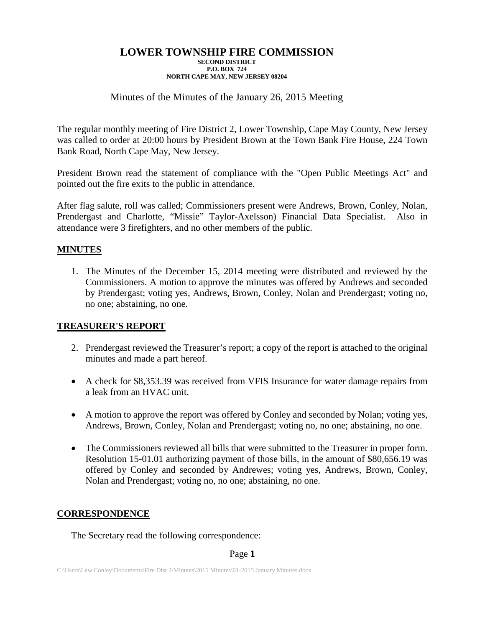## Minutes of the Minutes of the January 26, 2015 Meeting

The regular monthly meeting of Fire District 2, Lower Township, Cape May County, New Jersey was called to order at 20:00 hours by President Brown at the Town Bank Fire House, 224 Town Bank Road, North Cape May, New Jersey.

President Brown read the statement of compliance with the "Open Public Meetings Act" and pointed out the fire exits to the public in attendance.

After flag salute, roll was called; Commissioners present were Andrews, Brown, Conley, Nolan, Prendergast and Charlotte, "Missie" Taylor-Axelsson) Financial Data Specialist. Also in attendance were 3 firefighters, and no other members of the public.

## **MINUTES**

1. The Minutes of the December 15, 2014 meeting were distributed and reviewed by the Commissioners. A motion to approve the minutes was offered by Andrews and seconded by Prendergast; voting yes, Andrews, Brown, Conley, Nolan and Prendergast; voting no, no one; abstaining, no one.

## **TREASURER'S REPORT**

- 2. Prendergast reviewed the Treasurer's report; a copy of the report is attached to the original minutes and made a part hereof.
- A check for \$8,353.39 was received from VFIS Insurance for water damage repairs from a leak from an HVAC unit.
- A motion to approve the report was offered by Conley and seconded by Nolan; voting yes, Andrews, Brown, Conley, Nolan and Prendergast; voting no, no one; abstaining, no one.
- The Commissioners reviewed all bills that were submitted to the Treasurer in proper form. Resolution 15-01.01 authorizing payment of those bills, in the amount of \$80,656.19 was offered by Conley and seconded by Andrewes; voting yes, Andrews, Brown, Conley, Nolan and Prendergast; voting no, no one; abstaining, no one.

## **CORRESPONDENCE**

The Secretary read the following correspondence: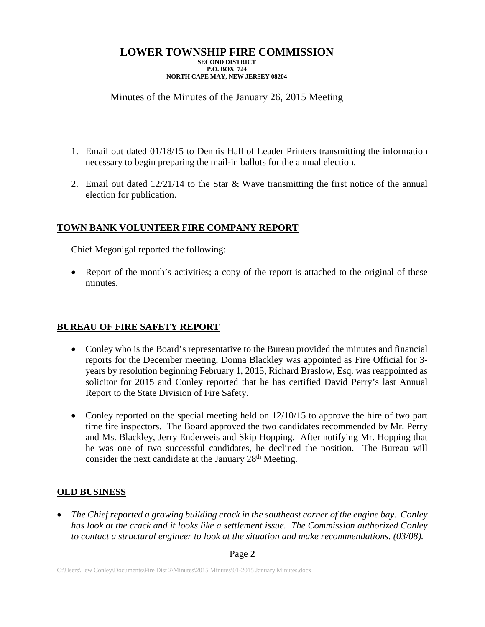# Minutes of the Minutes of the January 26, 2015 Meeting

- 1. Email out dated 01/18/15 to Dennis Hall of Leader Printers transmitting the information necessary to begin preparing the mail-in ballots for the annual election.
- 2. Email out dated  $12/21/14$  to the Star & Wave transmitting the first notice of the annual election for publication.

# **TOWN BANK VOLUNTEER FIRE COMPANY REPORT**

Chief Megonigal reported the following:

• Report of the month's activities; a copy of the report is attached to the original of these minutes.

# **BUREAU OF FIRE SAFETY REPORT**

- Conley who is the Board's representative to the Bureau provided the minutes and financial reports for the December meeting, Donna Blackley was appointed as Fire Official for 3 years by resolution beginning February 1, 2015, Richard Braslow, Esq. was reappointed as solicitor for 2015 and Conley reported that he has certified David Perry's last Annual Report to the State Division of Fire Safety.
- Conley reported on the special meeting held on  $12/10/15$  to approve the hire of two part time fire inspectors. The Board approved the two candidates recommended by Mr. Perry and Ms. Blackley, Jerry Enderweis and Skip Hopping. After notifying Mr. Hopping that he was one of two successful candidates, he declined the position. The Bureau will consider the next candidate at the January 28<sup>th</sup> Meeting.

# **OLD BUSINESS**

• *The Chief reported a growing building crack in the southeast corner of the engine bay. Conley has look at the crack and it looks like a settlement issue. The Commission authorized Conley to contact a structural engineer to look at the situation and make recommendations. (03/08).*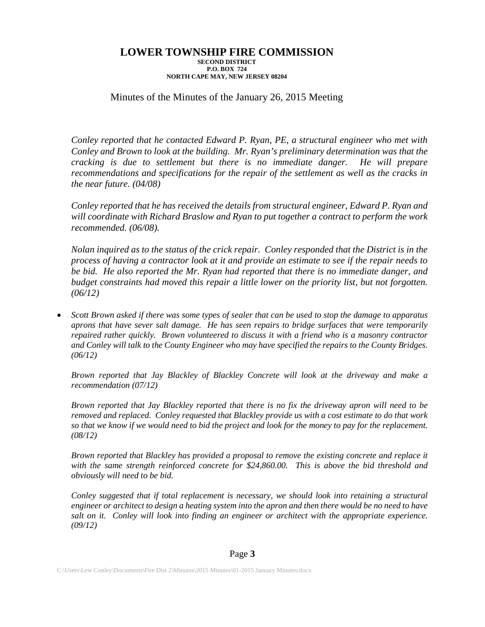## Minutes of the Minutes of the January 26, 2015 Meeting

*Conley reported that he contacted Edward P. Ryan, PE, a structural engineer who met with Conley and Brown to look at the building. Mr. Ryan's preliminary determination was that the cracking is due to settlement but there is no immediate danger. He will prepare recommendations and specifications for the repair of the settlement as well as the cracks in the near future. (04/08)*

*Conley reported that he has received the details from structural engineer, Edward P. Ryan and will coordinate with Richard Braslow and Ryan to put together a contract to perform the work recommended. (06/08).*

*Nolan inquired as to the status of the crick repair. Conley responded that the District is in the process of having a contractor look at it and provide an estimate to see if the repair needs to be bid. He also reported the Mr. Ryan had reported that there is no immediate danger, and budget constraints had moved this repair a little lower on the priority list, but not forgotten. (06/12)*

• *Scott Brown asked if there was some types of sealer that can be used to stop the damage to apparatus aprons that have sever salt damage. He has seen repairs to bridge surfaces that were temporarily repaired rather quickly. Brown volunteered to discuss it with a friend who is a masonry contractor and Conley will talk to the County Engineer who may have specified the repairs to the County Bridges. (06/12)*

*Brown reported that Jay Blackley of Blackley Concrete will look at the driveway and make a recommendation (07/12)*

*Brown reported that Jay Blackley reported that there is no fix the driveway apron will need to be removed and replaced. Conley requested that Blackley provide us with a cost estimate to do that work so that we know if we would need to bid the project and look for the money to pay for the replacement. (08/12)*

*Brown reported that Blackley has provided a proposal to remove the existing concrete and replace it with the same strength reinforced concrete for \$24,860.00. This is above the bid threshold and obviously will need to be bid.*

*Conley suggested that if total replacement is necessary, we should look into retaining a structural engineer or architect to design a heating system into the apron and then there would be no need to have salt on it. Conley will look into finding an engineer or architect with the appropriate experience. (09/12)*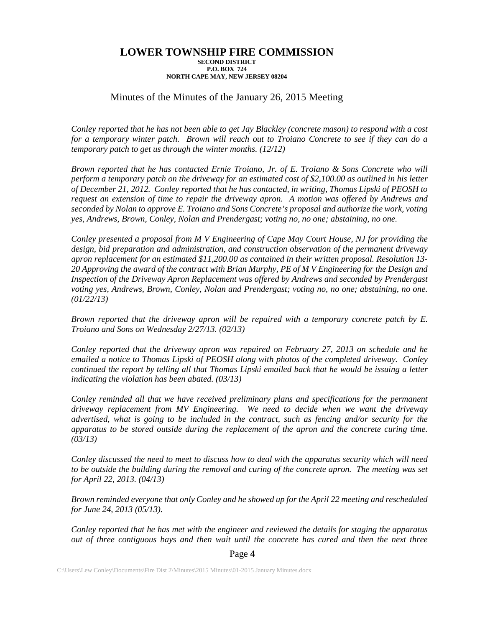### Minutes of the Minutes of the January 26, 2015 Meeting

*Conley reported that he has not been able to get Jay Blackley (concrete mason) to respond with a cost for a temporary winter patch. Brown will reach out to Troiano Concrete to see if they can do a temporary patch to get us through the winter months. (12/12)*

*Brown reported that he has contacted Ernie Troiano, Jr. of E. Troiano & Sons Concrete who will perform a temporary patch on the driveway for an estimated cost of \$2,100.00 as outlined in his letter of December 21, 2012. Conley reported that he has contacted, in writing, Thomas Lipski of PEOSH to request an extension of time to repair the driveway apron. A motion was offered by Andrews and seconded by Nolan to approve E. Troiano and Sons Concrete's proposal and authorize the work, voting yes, Andrews, Brown, Conley, Nolan and Prendergast; voting no, no one; abstaining, no one.*

*Conley presented a proposal from M V Engineering of Cape May Court House, NJ for providing the design, bid preparation and administration, and construction observation of the permanent driveway apron replacement for an estimated \$11,200.00 as contained in their written proposal. Resolution 13- 20 Approving the award of the contract with Brian Murphy, PE of M V Engineering for the Design and Inspection of the Driveway Apron Replacement was offered by Andrews and seconded by Prendergast voting yes, Andrews, Brown, Conley, Nolan and Prendergast; voting no, no one; abstaining, no one. (01/22/13)*

*Brown reported that the driveway apron will be repaired with a temporary concrete patch by E. Troiano and Sons on Wednesday 2/27/13. (02/13)*

*Conley reported that the driveway apron was repaired on February 27, 2013 on schedule and he emailed a notice to Thomas Lipski of PEOSH along with photos of the completed driveway. Conley continued the report by telling all that Thomas Lipski emailed back that he would be issuing a letter indicating the violation has been abated. (03/13)*

*Conley reminded all that we have received preliminary plans and specifications for the permanent driveway replacement from MV Engineering. We need to decide when we want the driveway advertised, what is going to be included in the contract, such as fencing and/or security for the apparatus to be stored outside during the replacement of the apron and the concrete curing time. (03/13)*

*Conley discussed the need to meet to discuss how to deal with the apparatus security which will need to be outside the building during the removal and curing of the concrete apron. The meeting was set for April 22, 2013. (04/13)*

*Brown reminded everyone that only Conley and he showed up for the April 22 meeting and rescheduled for June 24, 2013 (05/13).*

*Conley reported that he has met with the engineer and reviewed the details for staging the apparatus out of three contiguous bays and then wait until the concrete has cured and then the next three*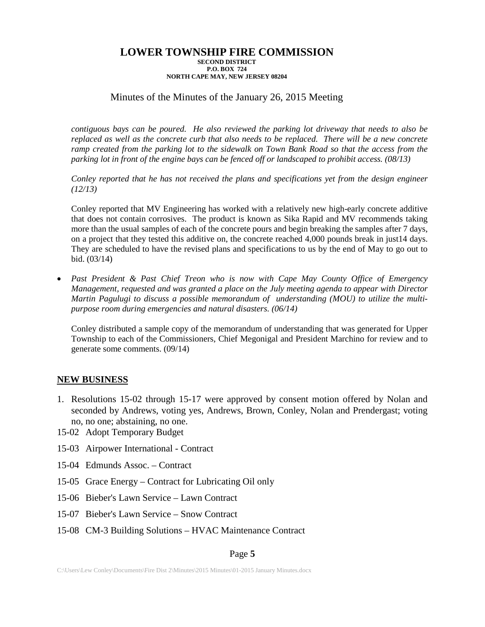## Minutes of the Minutes of the January 26, 2015 Meeting

*contiguous bays can be poured. He also reviewed the parking lot driveway that needs to also be replaced as well as the concrete curb that also needs to be replaced. There will be a new concrete ramp created from the parking lot to the sidewalk on Town Bank Road so that the access from the parking lot in front of the engine bays can be fenced off or landscaped to prohibit access. (08/13)* 

*Conley reported that he has not received the plans and specifications yet from the design engineer (12/13)*

Conley reported that MV Engineering has worked with a relatively new high-early concrete additive that does not contain corrosives. The product is known as Sika Rapid and MV recommends taking more than the usual samples of each of the concrete pours and begin breaking the samples after 7 days, on a project that they tested this additive on, the concrete reached 4,000 pounds break in just14 days. They are scheduled to have the revised plans and specifications to us by the end of May to go out to bid. (03/14)

• *Past President & Past Chief Treon who is now with Cape May County Office of Emergency Management, requested and was granted a place on the July meeting agenda to appear with Director Martin Pagulugi to discuss a possible memorandum of understanding (MOU) to utilize the multipurpose room during emergencies and natural disasters. (06/14)*

Conley distributed a sample copy of the memorandum of understanding that was generated for Upper Township to each of the Commissioners, Chief Megonigal and President Marchino for review and to generate some comments. (09/14)

## **NEW BUSINESS**

- 1. Resolutions 15-02 through 15-17 were approved by consent motion offered by Nolan and seconded by Andrews, voting yes, Andrews, Brown, Conley, Nolan and Prendergast; voting no, no one; abstaining, no one.
- 15-02 Adopt Temporary Budget
- 15-03 Airpower International Contract
- 15-04 Edmunds Assoc. Contract
- 15-05 Grace Energy Contract for Lubricating Oil only
- 15-06 Bieber's Lawn Service Lawn Contract
- 15-07 Bieber's Lawn Service Snow Contract
- 15-08 CM-3 Building Solutions HVAC Maintenance Contract